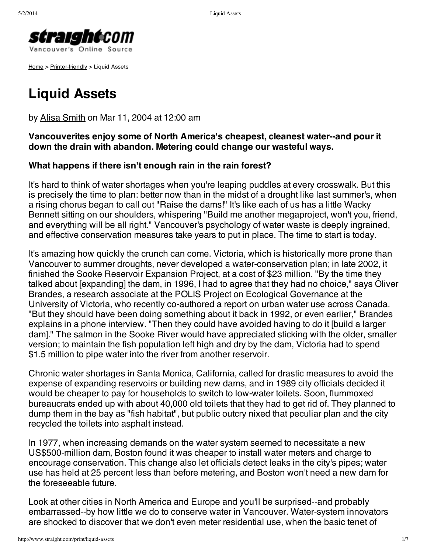

[Home](http://www.straight.com/) > [Printer-friendly](http://www.straight.com/print/liquid-assets) > Liquid Assets

# **Liquid Assets**

by Alisa [Smith](http://www.straight.com/user/25676) on Mar 11, 2004 at 12:00 am

#### **Vancouverites enjoy some of North America's cheapest, cleanest water--and pour it down the drain with abandon. Metering could change our wasteful ways.**

#### **What happens if there isn't enough rain in the rain forest?**

It's hard to think of water shortages when you're leaping puddles at every crosswalk. But this is precisely the time to plan: better now than in the midst of a drought like last summer's, when a rising chorus began to call out "Raise the dams!" It's like each of us has a little Wacky Bennett sitting on our shoulders, whispering "Build me another megaproject, won't you, friend, and everything will be all right." Vancouver's psychology of water waste is deeply ingrained, and effective conservation measures take years to put in place. The time to start is today.

It's amazing how quickly the crunch can come. Victoria, which is historically more prone than Vancouver to summer droughts, never developed a water-conservation plan; in late 2002, it finished the Sooke Reservoir Expansion Project, at a cost of \$23 million. "By the time they talked about [expanding] the dam, in 1996, I had to agree that they had no choice," says Oliver Brandes, a research associate at the POLIS Project on Ecological Governance at the University of Victoria, who recently co-authored a report on urban water use across Canada. "But they should have been doing something about it back in 1992, or even earlier," Brandes explains in a phone interview. "Then they could have avoided having to do it [build a larger dam]." The salmon in the Sooke River would have appreciated sticking with the older, smaller version; to maintain the fish population left high and dry by the dam, Victoria had to spend \$1.5 million to pipe water into the river from another reservoir.

Chronic water shortages in Santa Monica, California, called for drastic measures to avoid the expense of expanding reservoirs or building new dams, and in 1989 city officials decided it would be cheaper to pay for households to switch to low-water toilets. Soon, flummoxed bureaucrats ended up with about 40,000 old toilets that they had to get rid of. They planned to dump them in the bay as "fish habitat", but public outcry nixed that peculiar plan and the city recycled the toilets into asphalt instead.

In 1977, when increasing demands on the water system seemed to necessitate a new US\$500-million dam, Boston found it was cheaper to install water meters and charge to encourage conservation. This change also let officials detect leaks in the city's pipes; water use has held at 25 percent less than before metering, and Boston won't need a new dam for the foreseeable future.

Look at other cities in North America and Europe and you'll be surprised--and probably embarrassed--by how little we do to conserve water in Vancouver. Water-system innovators are shocked to discover that we don't even meter residential use, when the basic tenet of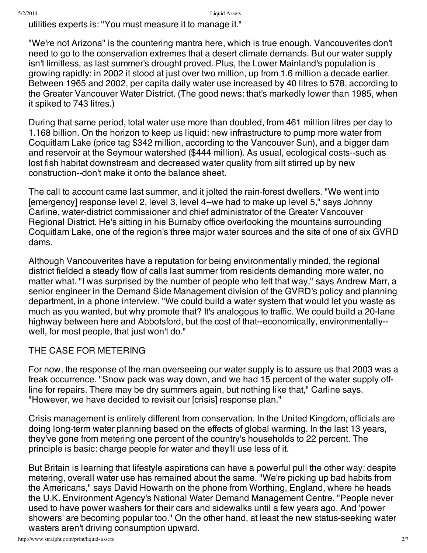utilities experts is: "You must measure it to manage it."

"We're not Arizona" is the countering mantra here, which is true enough. Vancouverites don't need to go to the conservation extremes that a desert climate demands. But our water supply isn't limitless, as last summer's drought proved. Plus, the Lower Mainland's population is growing rapidly: in 2002 it stood at just over two million, up from 1.6 million a decade earlier. Between 1965 and 2002, per capita daily water use increased by 40 litres to 578, according to the Greater Vancouver Water District. (The good news: that's markedly lower than 1985, when it spiked to 743 litres.)

During that same period, total water use more than doubled, from 461 million litres per day to 1.168 billion. On the horizon to keep us liquid: new infrastructure to pump more water from Coquitlam Lake (price tag \$342 million, according to the Vancouver Sun), and a bigger dam and reservoir at the Seymour watershed (\$444 million). As usual, ecological costs--such as lost fish habitat downstream and decreased water quality from silt stirred up by new construction--don't make it onto the balance sheet.

The call to account came last summer, and it jolted the rain-forest dwellers. "We went into [emergency] response level 2, level 3, level 4--we had to make up level 5," says Johnny Carline, water-district commissioner and chief administrator of the Greater Vancouver Regional District. He's sitting in his Burnaby office overlooking the mountains surrounding Coquitlam Lake, one of the region's three major water sources and the site of one of six GVRD dams.

Although Vancouverites have a reputation for being environmentally minded, the regional district fielded a steady flow of calls last summer from residents demanding more water, no matter what. "I was surprised by the number of people who felt that way," says Andrew Marr, a senior engineer in the Demand Side Management division of the GVRD's policy and planning department, in a phone interview. "We could build a water system that would let you waste as much as you wanted, but why promote that? It's analogous to traffic. We could build a 20-lane highway between here and Abbotsford, but the cost of that--economically, environmentally- well, for most people, that just won't do."

## THE CASE FOR METERING

For now, the response of the man overseeing our water supply is to assure us that 2003 was a freak occurrence. "Snow pack was way down, and we had 15 percent of the water supply offline for repairs. There may be dry summers again, but nothing like that," Carline says. "However, we have decided to revisit our [crisis] response plan."

Crisis management is entirely different from conservation. In the United Kingdom, officials are doing long-term water planning based on the effects of global warming. In the last 13 years, they've gone from metering one percent of the country's households to 22 percent. The principle is basic: charge people for water and they'll use less of it.

But Britain is learning that lifestyle aspirations can have a powerful pull the other way: despite metering, overall water use has remained about the same. "We're picking up bad habits from the Americans," says David Howarth on the phone from Worthing, England, where he heads the U.K. Environment Agency's National Water Demand Management Centre. "People never used to have power washers for their cars and sidewalks until a few years ago. And 'power showers' are becoming popular too." On the other hand, at least the new status-seeking water wasters aren't driving consumption upward.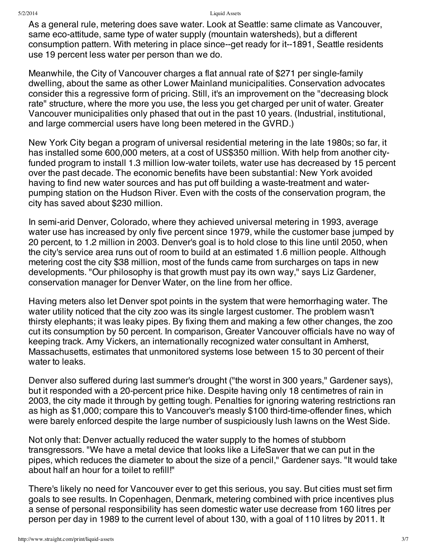5/2/2014 Liquid Assets

As a general rule, metering does save water. Look at Seattle: same climate as Vancouver, same eco-attitude, same type of water supply (mountain watersheds), but a different consumption pattern. With metering in place since--get ready for it--1891, Seattle residents use 19 percent less water per person than we do.

Meanwhile, the City of Vancouver charges a flat annual rate of \$271 per single-family dwelling, about the same as other Lower Mainland municipalities. Conservation advocates consider this a regressive form of pricing. Still, it's an improvement on the "decreasing block rate" structure, where the more you use, the less you get charged per unit of water. Greater Vancouver municipalities only phased that out in the past 10 years. (Industrial, institutional, and large commercial users have long been metered in the GVRD.)

New York City began a program of universal residential metering in the late 1980s; so far, it has installed some 600,000 meters, at a cost of US\$350 million. With help from another cityfunded program to install 1.3 million low-water toilets, water use has decreased by 15 percent over the past decade. The economic benefits have been substantial: New York avoided having to find new water sources and has put off building a waste-treatment and waterpumping station on the Hudson River. Even with the costs of the conservation program, the city has saved about \$230 million.

In semi-arid Denver, Colorado, where they achieved universal metering in 1993, average water use has increased by only five percent since 1979, while the customer base jumped by 20 percent, to 1.2 million in 2003. Denver's goal is to hold close to this line until 2050, when the city's service area runs out of room to build at an estimated 1.6 million people. Although metering cost the city \$38 million, most of the funds came from surcharges on taps in new developments. "Our philosophy is that growth must pay its own way," says Liz Gardener, conservation manager for Denver Water, on the line from her office.

Having meters also let Denver spot points in the system that were hemorrhaging water. The water utility noticed that the city zoo was its single largest customer. The problem wasn't thirsty elephants; it was leaky pipes. By fixing them and making a few other changes, the zoo cut its consumption by 50 percent. In comparison, Greater Vancouver officials have no way of keeping track. Amy Vickers, an internationally recognized water consultant in Amherst, Massachusetts, estimates that unmonitored systems lose between 15 to 30 percent of their water to leaks.

Denver also suffered during last summer's drought ("the worst in 300 years," Gardener says), but it responded with a 20-percent price hike. Despite having only 18 centimetres of rain in 2003, the city made it through by getting tough. Penalties for ignoring watering restrictions ran as high as \$1,000; compare this to Vancouver's measly \$100 third-time-offender fines, which were barely enforced despite the large number of suspiciously lush lawns on the West Side.

Not only that: Denver actually reduced the water supply to the homes of stubborn transgressors. "We have a metal device that looks like a LifeSaver that we can put in the pipes, which reduces the diameter to about the size of a pencil," Gardener says. "It would take about half an hour for a toilet to refill!"

There's likely no need for Vancouver ever to get this serious, you say. But cities must set firm goals to see results. In Copenhagen, Denmark, metering combined with price incentives plus a sense of personal responsibility has seen domestic water use decrease from 160 litres per person per day in 1989 to the current level of about 130, with a goal of 110 litres by 2011. It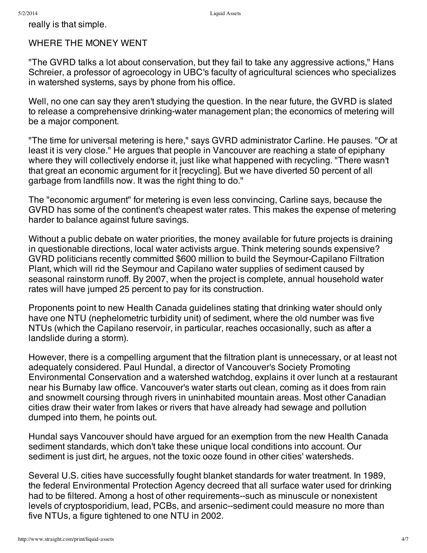really is that simple.

#### WHERE THE MONEY WENT

"The GVRD talks a lot about conservation, but they fail to take any aggressive actions," Hans Schreier, a professor of agroecology in UBC's faculty of agricultural sciences who specializes in watershed systems, says by phone from his office.

Well, no one can say they aren't studying the question. In the near future, the GVRD is slated to release a comprehensive drinking-water management plan; the economics of metering will be a major component.

"The time for universal metering is here," says GVRD administrator Carline. He pauses. "Or at least it is very close." He argues that people in Vancouver are reaching a state of epiphany where they will collectively endorse it, just like what happened with recycling. "There wasn't that great an economic argument for it [recycling]. But we have diverted 50 percent of all garbage from landfills now. It was the right thing to do."

The "economic argument" for metering is even less convincing, Carline says, because the GVRD has some of the continent's cheapest water rates. This makes the expense of metering harder to balance against future savings.

Without a public debate on water priorities, the money available for future projects is draining in questionable directions, local water activists argue. Think metering sounds expensive? GVRD politicians recently committed \$600 million to build the Seymour-Capilano Filtration Plant, which will rid the Seymour and Capilano water supplies of sediment caused by seasonal rainstorm runoff. By 2007, when the project is complete, annual household water rates will have jumped 25 percent to pay for its construction.

Proponents point to new Health Canada guidelines stating that drinking water should only have one NTU (nephelometric turbidity unit) of sediment, where the old number was five NTUs (which the Capilano reservoir, in particular, reaches occasionally, such as after a landslide during a storm).

However, there is a compelling argument that the filtration plant is unnecessary, or at least not adequately considered. Paul Hundal, a director of Vancouver's Society Promoting Environmental Conservation and a watershed watchdog, explains it over lunch at a restaurant near his Burnaby law office. Vancouver's water starts out clean, coming as it does from rain and snowmelt coursing through rivers in uninhabited mountain areas. Most other Canadian cities draw their water from lakes or rivers that have already had sewage and pollution dumped into them, he points out.

Hundal says Vancouver should have argued for an exemption from the new Health Canada sediment standards, which don't take these unique local conditions into account. Our sediment is just dirt, he argues, not the toxic ooze found in other cities' watersheds.

Several U.S. cities have successfully fought blanket standards for water treatment. In 1989, the federal Environmental Protection Agency decreed that all surface water used for drinking had to be filtered. Among a host of other requirements--such as minuscule or nonexistent levels of cryptosporidium, lead, PCBs, and arsenic--sediment could measure no more than five NTUs, a figure tightened to one NTU in 2002.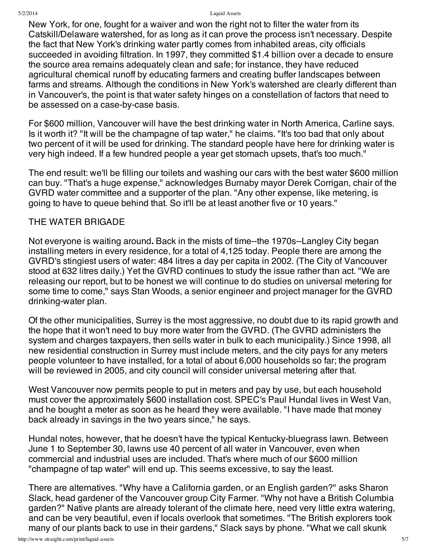5/2/2014 Liquid Assets

New York, for one, fought for a waiver and won the right not to filter the water from its Catskill/Delaware watershed, for as long as it can prove the process isn't necessary. Despite the fact that New York's drinking water partly comes from inhabited areas, city officials succeeded in avoiding filtration. In 1997, they committed \$1.4 billion over a decade to ensure the source area remains adequately clean and safe; for instance, they have reduced agricultural chemical runoff by educating farmers and creating buffer landscapes between farms and streams. Although the conditions in New York's watershed are clearly different than in Vancouver's, the point is that water safety hinges on a constellation of factors that need to be assessed on a case-by-case basis.

For \$600 million, Vancouver will have the best drinking water in North America, Carline says. Is it worth it? "It will be the champagne of tap water," he claims. "It's too bad that only about two percent of it will be used for drinking. The standard people have here for drinking water is very high indeed. If a few hundred people a year get stomach upsets, that's too much."

The end result: we'll be filling our toilets and washing our cars with the best water \$600 million can buy. "That's a huge expense," acknowledges Burnaby mayor Derek Corrigan, chair of the GVRD water committee and a supporter of the plan. "Any other expense, like metering, is going to have to queue behind that. So it'll be at least another five or 10 years."

## THE WATER BRIGADE

Not everyone is waiting around**.** Back in the mists of time--the 1970s--Langley City began installing meters in every residence, for a total of 4,125 today. People there are among the GVRD's stingiest users of water: 484 litres a day per capita in 2002. (The City of Vancouver stood at 632 litres daily.) Yet the GVRD continues to study the issue rather than act. "We are releasing our report, but to be honest we will continue to do studies on universal metering for some time to come," says Stan Woods, a senior engineer and project manager for the GVRD drinking-water plan.

Of the other municipalities, Surrey is the most aggressive, no doubt due to its rapid growth and the hope that it won't need to buy more water from the GVRD. (The GVRD administers the system and charges taxpayers, then sells water in bulk to each municipality.) Since 1998, all new residential construction in Surrey must include meters, and the city pays for any meters people volunteer to have installed, for a total of about 6,000 households so far; the program will be reviewed in 2005, and city council will consider universal metering after that.

West Vancouver now permits people to put in meters and pay by use, but each household must cover the approximately \$600 installation cost. SPEC's Paul Hundal lives in West Van, and he bought a meter as soon as he heard they were available. "I have made that money back already in savings in the two years since," he says.

Hundal notes, however, that he doesn't have the typical Kentucky-bluegrass lawn. Between June 1 to September 30, lawns use 40 percent of all water in Vancouver, even when commercial and industrial uses are included. That's where much of our \$600 million "champagne of tap water" will end up. This seems excessive, to say the least.

There are alternatives. "Why have a California garden, or an English garden?" asks Sharon Slack, head gardener of the Vancouver group City Farmer. "Why not have a British Columbia garden?" Native plants are already tolerant of the climate here, need very little extra watering, and can be very beautiful, even if locals overlook that sometimes. "The British explorers took many of our plants back to use in their gardens," Slack says by phone. "What we call skunk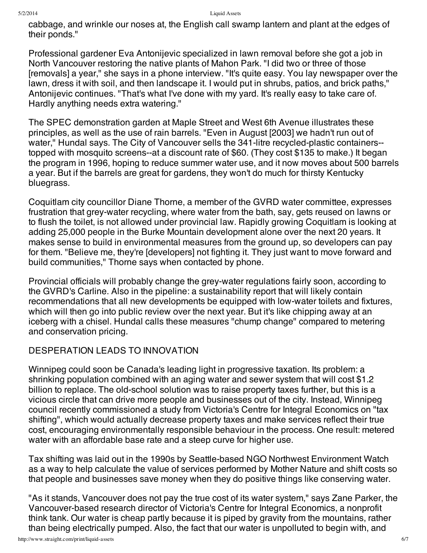cabbage, and wrinkle our noses at, the English call swamp lantern and plant at the edges of their ponds."

Professional gardener Eva Antonijevic specialized in lawn removal before she got a job in North Vancouver restoring the native plants of Mahon Park. "I did two or three of those [removals] a year," she says in a phone interview. "It's quite easy. You lay newspaper over the lawn, dress it with soil, and then landscape it. I would put in shrubs, patios, and brick paths," Antonijevic continues. "That's what I've done with my yard. It's really easy to take care of. Hardly anything needs extra watering."

The SPEC demonstration garden at Maple Street and West 6th Avenue illustrates these principles, as well as the use of rain barrels. "Even in August [2003] we hadn't run out of water," Hundal says. The City of Vancouver sells the 341-litre recycled-plastic containers- topped with mosquito screens--at a discount rate of \$60. (They cost \$135 to make.) It began the program in 1996, hoping to reduce summer water use, and it now moves about 500 barrels a year. But if the barrels are great for gardens, they won't do much for thirsty Kentucky bluegrass.

Coquitlam city councillor Diane Thorne, a member of the GVRD water committee, expresses frustration that grey-water recycling, where water from the bath, say, gets reused on lawns or to flush the toilet, is not allowed under provincial law. Rapidly growing Coquitlam is looking at adding 25,000 people in the Burke Mountain development alone over the next 20 years. It makes sense to build in environmental measures from the ground up, so developers can pay for them. "Believe me, they're [developers] not fighting it. They just want to move forward and build communities," Thorne says when contacted by phone.

Provincial officials will probably change the grey-water regulations fairly soon, according to the GVRD's Carline. Also in the pipeline: a sustainability report that will likely contain recommendations that all new developments be equipped with low-water toilets and fixtures, which will then go into public review over the next year. But it's like chipping away at an iceberg with a chisel. Hundal calls these measures "chump change" compared to metering and conservation pricing.

## DESPERATION LEADS TO INNOVATION

Winnipeg could soon be Canada's leading light in progressive taxation. Its problem: a shrinking population combined with an aging water and sewer system that will cost \$1.2 billion to replace. The old-school solution was to raise property taxes further, but this is a vicious circle that can drive more people and businesses out of the city. Instead, Winnipeg council recently commissioned a study from Victoria's Centre for Integral Economics on "tax shifting", which would actually decrease property taxes and make services reflect their true cost, encouraging environmentally responsible behaviour in the process. One result: metered water with an affordable base rate and a steep curve for higher use.

Tax shifting was laid out in the 1990s by Seattle-based NGO Northwest Environment Watch as a way to help calculate the value of services performed by Mother Nature and shift costs so that people and businesses save money when they do positive things like conserving water.

"As it stands, Vancouver does not pay the true cost of its water system," says Zane Parker, the Vancouver-based research director of Victoria's Centre for Integral Economics, a nonprofit think tank. Our water is cheap partly because it is piped by gravity from the mountains, rather than being electrically pumped. Also, the fact that our water is unpolluted to begin with, and